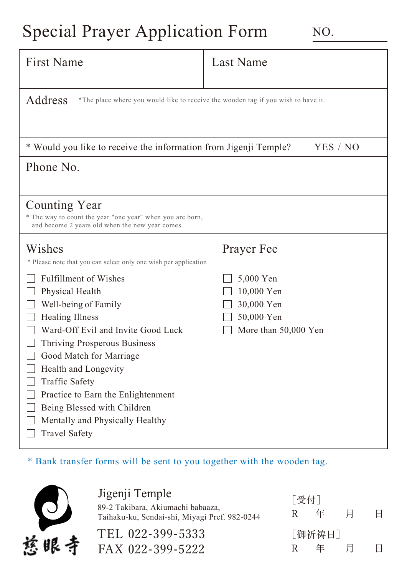## Special Prayer Application Form

NO.

| <b>First Name</b>                                                                                                                                                                                                                                                                                                                                                                          | <b>Last Name</b>                                                            |
|--------------------------------------------------------------------------------------------------------------------------------------------------------------------------------------------------------------------------------------------------------------------------------------------------------------------------------------------------------------------------------------------|-----------------------------------------------------------------------------|
| Address<br>*The place where you would like to receive the wooden tag if you wish to have it.                                                                                                                                                                                                                                                                                               |                                                                             |
| * Would you like to receive the information from Jigenji Temple?                                                                                                                                                                                                                                                                                                                           | YES / NO                                                                    |
| Phone No.                                                                                                                                                                                                                                                                                                                                                                                  |                                                                             |
| Counting Year<br>* The way to count the year "one year" when you are born,<br>and become 2 years old when the new year comes.                                                                                                                                                                                                                                                              |                                                                             |
| Wishes<br>* Please note that you can select only one wish per application                                                                                                                                                                                                                                                                                                                  | Prayer Fee                                                                  |
| <b>Fulfillment of Wishes</b><br>Physical Health<br>Well-being of Family<br><b>Healing Illness</b><br>Ward-Off Evil and Invite Good Luck<br><b>Thriving Prosperous Business</b><br>Good Match for Marriage<br>Health and Longevity<br><b>Traffic Safety</b><br>Practice to Earn the Enlightenment<br>Being Blessed with Children<br>Mentally and Physically Healthy<br><b>Travel Safety</b> | 5,000 Yen<br>10,000 Yen<br>30,000 Yen<br>50,000 Yen<br>More than 50,000 Yen |

\* Bank transfer forms will be sent to you together with the wooden tag.



TEL 022-399-5333 FAX 022-399-5222 89-2 Takibara, Akiumachi babaaza, Taihaku-ku, Sendai-shi, Miyagi Pref. 982-0244

Jigenji Temple

| 「受付」<br>R. | 年           | 月 | Ħ |
|------------|-------------|---|---|
| R          | 「御祈祷日]<br>年 | 月 | H |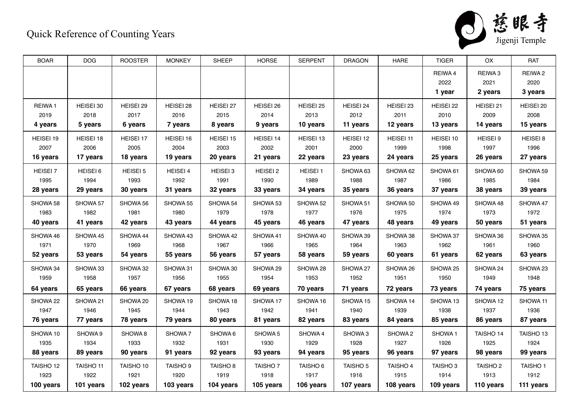

| <b>BOAR</b>          | <b>DOG</b>           | <b>ROOSTER</b>  | <b>MONKEY</b>       | <b>SHEEP</b>        | <b>HORSE</b>        | <b>SERPENT</b>      | <b>DRAGON</b>      | <b>HARE</b>        | <b>TIGER</b>        | OX                  | <b>RAT</b>           |
|----------------------|----------------------|-----------------|---------------------|---------------------|---------------------|---------------------|--------------------|--------------------|---------------------|---------------------|----------------------|
|                      |                      |                 |                     |                     |                     |                     |                    |                    | REIWA 4             | REIWA <sub>3</sub>  | REIWA <sub>2</sub>   |
|                      |                      |                 |                     |                     |                     |                     |                    |                    | 2022                | 2021                | 2020                 |
|                      |                      |                 |                     |                     |                     |                     |                    |                    | 1 year              | 2 years             | 3 years              |
| REIWA1               | HEISEI 30            | HEISEI 29       | HEISEI 28           | HEISEI 27           | HEISEI 26           | HEISEI 25           | HEISEI 24          | HEISEI 23          | HEISEI 22           | HEISEI 21           | HEISEI 20            |
| 2019                 | 2018                 | 2017            | 2016                | 2015                | 2014                | 2013                | 2012               | 2011               | 2010                | 2009                | 2008                 |
| 4 years              | 5 years              | 6 years         | 7 years             | 8 years             | 9 years             | 10 years            | 11 years           | 12 years           | 13 years            | 14 years            | 15 years             |
| HEISEI 19            | HEISEI 18            | HEISEI 17       | HEISEI 16           | HEISEI 15           | HEISEI 14           | HEISEI 13           | HEISEI 12          | HEISEI 11          | HEISEI 10           | HEISEI 9            | HEISEI <sub>8</sub>  |
| 2007                 | 2006                 | 2005            | 2004                | 2003                | 2002                | 2001                | 2000               | 1999               | 1998                | 1997                | 1996                 |
| 16 years             | 17 years             | 18 years        | 19 years            | 20 years            | 21 years            | 22 years            | 23 years           | 24 years           | 25 years            | 26 years            | 27 years             |
| <b>HEISEI7</b>       | HEISEI 6             | <b>HEISEI 5</b> | HEISEI 4            | HEISEI <sub>3</sub> | HEISEI <sub>2</sub> | HEISEI 1            | SHOWA 63           | SHOWA 62           | SHOWA 61            | SHOWA 60            | SHOWA 59             |
| 1995                 | 1994                 | 1993            | 1992                | 1991                | 1990                | 1989                | 1988               | 1987               | 1986                | 1985                | 1984                 |
| 28 years             | 29 years             | 30 years        | 31 years            | 32 years            | 33 years            | 34 years            | 35 years           | 36 years           | 37 years            | 38 years            | 39 years             |
| SHOWA 58             | SHOWA 57             | SHOWA 56        | SHOWA 55            | SHOWA 54            | SHOWA 53            | SHOWA 52            | SHOWA 51           | SHOWA 50           | SHOWA 49            | SHOWA 48            | SHOWA 47             |
| 1983                 | 1982                 | 1981            | 1980                | 1979                | 1978                | 1977                | 1976               | 1975               | 1974                | 1973                | 1972                 |
| 40 years             | 41 years             | 42 years        | 43 years            | 44 years            | 45 years            | 46 years            | 47 years           | 48 years           | 49 years            | 50 years            | 51 years             |
| SHOWA 46             | SHOWA 45             | SHOWA 44        | SHOWA 43            | SHOWA 42            | SHOWA 41            | SHOWA 40            | SHOWA 39           | SHOWA 38           | SHOWA 37            | SHOWA 36            | SHOWA 35             |
| 1971                 | 1970                 | 1969            | 1968                | 1967                | 1966                | 1965                | 1964               | 1963               | 1962                | 1961                | 1960                 |
| 52 years             | 53 years             | 54 years        | 55 years            | 56 years            | 57 years            | 58 years            | 59 years           | 60 years           | 61 years            | 62 years            | 63 years             |
| SHOWA 34             | SHOWA 33             | SHOWA 32        | SHOWA 31            | SHOWA 30            | SHOWA 29            | SHOWA 28            | SHOWA 27           | SHOWA 26           | SHOWA 25            | SHOWA 24            | SHOWA 23             |
| 1959                 | 1958                 | 1957            | 1956                | 1955                | 1954                | 1953                | 1952               | 1951               | 1950                | 1949                | 1948                 |
| 64 years             | 65 years             | 66 years        | 67 years            | 68 years            | 69 years            | 70 years            | 71 years           | 72 years           | 73 years            | 74 years            | 75 years             |
| SHOWA 22             | SHOWA 21             | SHOWA 20        | SHOWA 19            | SHOWA 18            | SHOWA 17            | SHOWA 16            | SHOWA 15           | SHOWA 14           | SHOWA 13            | SHOWA 12            | SHOWA 11             |
| 1947                 | 1946                 | 1945            | 1944                | 1943                | 1942                | 1941                | 1940               | 1939               | 1938                | 1937                | 1936                 |
| 76 years             | 77 years             | 78 years        | 79 years            | 80 years            | 81 years            | 82 years            | 83 years           | 84 years           | 85 years            | 86 years            | 87 years             |
| SHOWA 10             | SHOWA 9              | SHOWA8          | SHOWA <sub>7</sub>  | SHOWA 6             | SHOWA <sub>5</sub>  | SHOWA 4             | SHOWA <sub>3</sub> | SHOWA <sub>2</sub> | SHOWA <sub>1</sub>  | TAISHO 14           | TAISHO <sub>13</sub> |
| 1935                 | 1934                 | 1933            | 1932                | 1931                | 1930                | 1929                | 1928               | 1927               | 1926                | 1925                | 1924                 |
| 88 years             | 89 years             | 90 years        | 91 years            | 92 years            | 93 years            | 94 years            | 95 years           | 96 years           | 97 years            | 98 years            | 99 years             |
| TAISHO <sub>12</sub> | TAISHO <sub>11</sub> | TAISHO 10       | TAISHO <sub>9</sub> | TAISHO <sub>8</sub> | <b>TAISHO7</b>      | TAISHO <sub>6</sub> | <b>TAISHO 5</b>    | TAISHO 4           | TAISHO <sub>3</sub> | TAISHO <sub>2</sub> | <b>TAISHO1</b>       |
| 1923                 | 1922                 | 1921            | 1920                | 1919                | 1918                | 1917                | 1916               | 1915               | 1914                | 1913                | 1912                 |
| 100 years            | 101 years            | 102 years       | 103 years           | 104 years           | 105 years           | 106 years           | 107 years          | 108 years          | 109 years           | 110 years           | 111 years            |